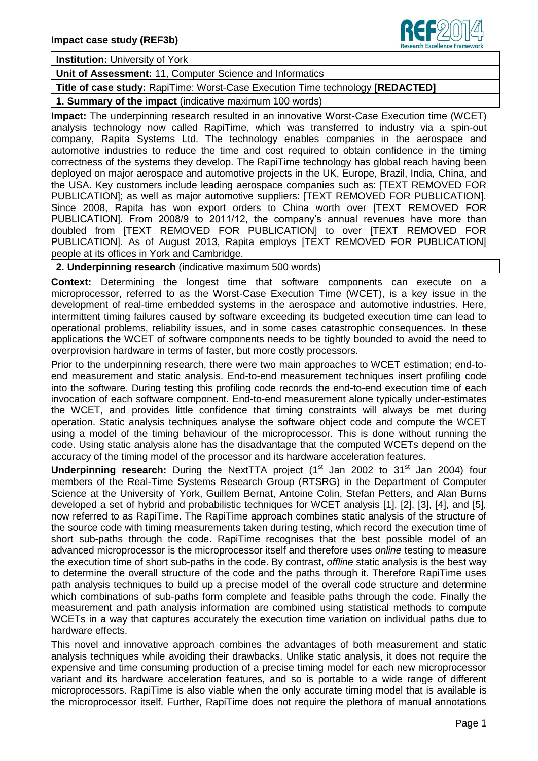

**Institution:** University of York

## **Unit of Assessment:** 11, Computer Science and Informatics

**Title of case study:** RapiTime: Worst-Case Execution Time technology **[REDACTED]**

**1. Summary of the impact** (indicative maximum 100 words)

**Impact:** The underpinning research resulted in an innovative Worst-Case Execution time (WCET) analysis technology now called RapiTime, which was transferred to industry via a spin-out company, Rapita Systems Ltd. The technology enables companies in the aerospace and automotive industries to reduce the time and cost required to obtain confidence in the timing correctness of the systems they develop. The RapiTime technology has global reach having been deployed on major aerospace and automotive projects in the UK, Europe, Brazil, India, China, and the USA. Key customers include leading aerospace companies such as: [TEXT REMOVED FOR PUBLICATION]; as well as major automotive suppliers: [TEXT REMOVED FOR PUBLICATION]. Since 2008, Rapita has won export orders to China worth over [TEXT REMOVED FOR PUBLICATION]. From 2008/9 to 2011/12, the company's annual revenues have more than doubled from [TEXT REMOVED FOR PUBLICATION] to over [TEXT REMOVED FOR PUBLICATION]. As of August 2013, Rapita employs [TEXT REMOVED FOR PUBLICATION] people at its offices in York and Cambridge.

**2. Underpinning research** (indicative maximum 500 words)

**Context:** Determining the longest time that software components can execute on a microprocessor, referred to as the Worst-Case Execution Time (WCET), is a key issue in the development of real-time embedded systems in the aerospace and automotive industries. Here, intermittent timing failures caused by software exceeding its budgeted execution time can lead to operational problems, reliability issues, and in some cases catastrophic consequences. In these applications the WCET of software components needs to be tightly bounded to avoid the need to overprovision hardware in terms of faster, but more costly processors.

Prior to the underpinning research, there were two main approaches to WCET estimation; end-toend measurement and static analysis. End-to-end measurement techniques insert profiling code into the software. During testing this profiling code records the end-to-end execution time of each invocation of each software component. End-to-end measurement alone typically under-estimates the WCET, and provides little confidence that timing constraints will always be met during operation. Static analysis techniques analyse the software object code and compute the WCET using a model of the timing behaviour of the microprocessor. This is done without running the code. Using static analysis alone has the disadvantage that the computed WCETs depend on the accuracy of the timing model of the processor and its hardware acceleration features.

**Underpinning research:** During the NextTTA project (1<sup>st</sup> Jan 2002 to 31<sup>st</sup> Jan 2004) four members of the Real-Time Systems Research Group (RTSRG) in the Department of Computer Science at the University of York, Guillem Bernat, Antoine Colin, Stefan Petters, and Alan Burns developed a set of hybrid and probabilistic techniques for WCET analysis [1], [2], [3], [4], and [5], now referred to as RapiTime. The RapiTime approach combines static analysis of the structure of the source code with timing measurements taken during testing, which record the execution time of short sub-paths through the code. RapiTime recognises that the best possible model of an advanced microprocessor is the microprocessor itself and therefore uses *online* testing to measure the execution time of short sub-paths in the code. By contrast, *offline* static analysis is the best way to determine the overall structure of the code and the paths through it. Therefore RapiTime uses path analysis techniques to build up a precise model of the overall code structure and determine which combinations of sub-paths form complete and feasible paths through the code. Finally the measurement and path analysis information are combined using statistical methods to compute WCETs in a way that captures accurately the execution time variation on individual paths due to hardware effects.

This novel and innovative approach combines the advantages of both measurement and static analysis techniques while avoiding their drawbacks. Unlike static analysis, it does not require the expensive and time consuming production of a precise timing model for each new microprocessor variant and its hardware acceleration features, and so is portable to a wide range of different microprocessors. RapiTime is also viable when the only accurate timing model that is available is the microprocessor itself. Further, RapiTime does not require the plethora of manual annotations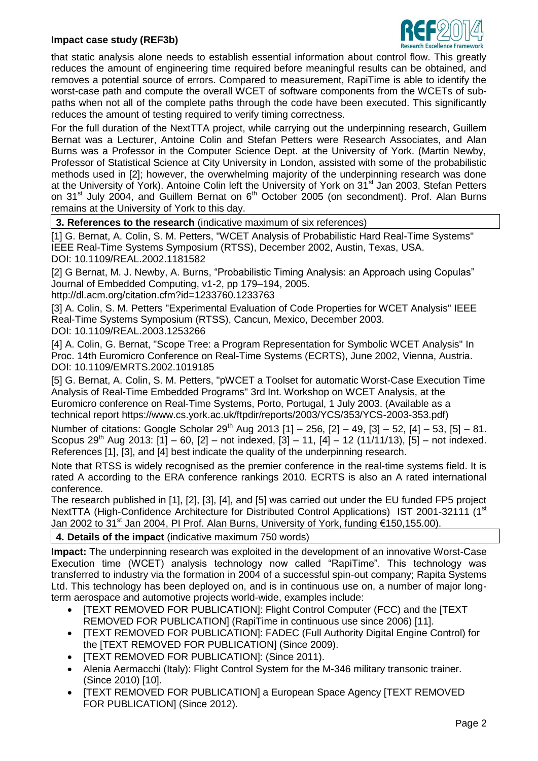## **Impact case study (REF3b)**



that static analysis alone needs to establish essential information about control flow. This greatly reduces the amount of engineering time required before meaningful results can be obtained, and removes a potential source of errors. Compared to measurement, RapiTime is able to identify the worst-case path and compute the overall WCET of software components from the WCETs of subpaths when not all of the complete paths through the code have been executed. This significantly reduces the amount of testing required to verify timing correctness.

For the full duration of the NextTTA project, while carrying out the underpinning research, Guillem Bernat was a Lecturer, Antoine Colin and Stefan Petters were Research Associates, and Alan Burns was a Professor in the Computer Science Dept. at the University of York. (Martin Newby, Professor of Statistical Science at City University in London, assisted with some of the probabilistic methods used in [2]; however, the overwhelming majority of the underpinning research was done at the University of York). Antoine Colin left the University of York on 31<sup>st</sup> Jan 2003, Stefan Petters on 31<sup>st</sup> July 2004, and Guillem Bernat on  $6<sup>th</sup>$  October 2005 (on secondment). Prof. Alan Burns remains at the University of York to this day.

**3. References to the research** (indicative maximum of six references)

[1] G. Bernat, A. Colin, S. M. Petters, "WCET Analysis of Probabilistic Hard Real-Time Systems" IEEE Real-Time Systems Symposium (RTSS), December 2002, Austin, Texas, USA. DOI: 10.1109/REAL.2002.1181582

[2] G Bernat, M. J. Newby, A. Burns, "Probabilistic Timing Analysis: an Approach using Copulas" Journal of Embedded Computing, v1-2, pp 179–194, 2005.

http://dl.acm.org/citation.cfm?id=1233760.1233763

[3] A. Colin, S. M. Petters "Experimental Evaluation of Code Properties for WCET Analysis" IEEE Real-Time Systems Symposium (RTSS), Cancun, Mexico, December 2003. DOI: 10.1109/REAL.2003.1253266

[4] A. Colin, G. Bernat, "Scope Tree: a Program Representation for Symbolic WCET Analysis" In Proc. 14th Euromicro Conference on Real-Time Systems (ECRTS), June 2002, Vienna, Austria. DOI: 10.1109/EMRTS.2002.1019185

[5] G. Bernat, A. Colin, S. M. Petters, "pWCET a Toolset for automatic Worst-Case Execution Time Analysis of Real-Time Embedded Programs" 3rd Int. Workshop on WCET Analysis, at the Euromicro conference on Real-Time Systems, Porto, Portugal, 1 July 2003. (Available as a technical report https://www.cs.york.ac.uk/ftpdir/reports/2003/YCS/353/YCS-2003-353.pdf)

Number of citations: Google Scholar  $29^{th}$  Aug 2013 [1] – 256, [2] – 49, [3] – 52, [4] – 53, [5] – 81. Scopus 29<sup>th</sup> Aug 2013:  $[1] - 60$ ,  $[2] - \text{not indexed}$ ,  $[3] - 11$ ,  $[4] - 12$  (11/11/13),  $[5] - \text{not indexed}$ . References [1], [3], and [4] best indicate the quality of the underpinning research.

Note that RTSS is widely recognised as the premier conference in the real-time systems field. It is rated A according to the ERA conference rankings 2010. ECRTS is also an A rated international conference.

The research published in [1], [2], [3], [4], and [5] was carried out under the EU funded FP5 project NextTTA (High-Confidence Architecture for Distributed Control Applications) IST 2001-32111 (1<sup>st</sup> Jan 2002 to 31<sup>st</sup> Jan 2004, PI Prof. Alan Burns, University of York, funding €150,155.00).

## **4. Details of the impact** (indicative maximum 750 words)

**Impact:** The underpinning research was exploited in the development of an innovative Worst-Case Execution time (WCET) analysis technology now called "RapiTime". This technology was transferred to industry via the formation in 2004 of a successful spin-out company; Rapita Systems Ltd. This technology has been deployed on, and is in continuous use on, a number of major longterm aerospace and automotive projects world-wide, examples include:

- [TEXT REMOVED FOR PUBLICATION]: Flight Control Computer (FCC) and the [TEXT REMOVED FOR PUBLICATION] (RapiTime in continuous use since 2006) [11].
- ITEXT REMOVED FOR PUBLICATIONI: FADEC (Full Authority Digital Engine Control) for the [TEXT REMOVED FOR PUBLICATION] (Since 2009).
- [TEXT REMOVED FOR PUBLICATION]: (Since 2011).
- Alenia Aermacchi (Italy): Flight Control System for the M-346 military transonic trainer. (Since 2010) [10].
- [TEXT REMOVED FOR PUBLICATION] a European Space Agency [TEXT REMOVED FOR PUBLICATION] (Since 2012).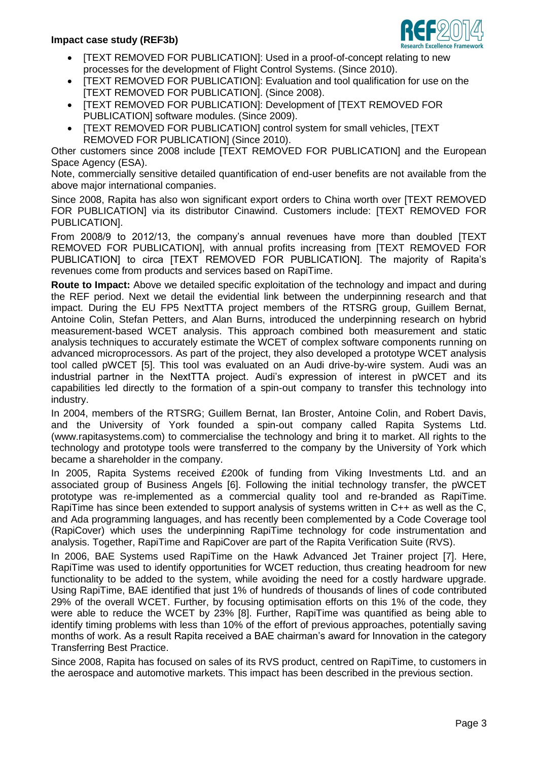

- [TEXT REMOVED FOR PUBLICATION]: Used in a proof-of-concept relating to new processes for the development of Flight Control Systems. (Since 2010).
- [TEXT REMOVED FOR PUBLICATION]: Evaluation and tool qualification for use on the [TEXT REMOVED FOR PUBLICATION]. (Since 2008).
- [TEXT REMOVED FOR PUBLICATION]: Development of [TEXT REMOVED FOR PUBLICATION] software modules. (Since 2009).
- [TEXT REMOVED FOR PUBLICATION] control system for small vehicles, [TEXT REMOVED FOR PUBLICATION] (Since 2010).

Other customers since 2008 include [TEXT REMOVED FOR PUBLICATION] and the European Space Agency (ESA).

Note, commercially sensitive detailed quantification of end-user benefits are not available from the above major international companies.

Since 2008, Rapita has also won significant export orders to China worth over [TEXT REMOVED FOR PUBLICATION] via its distributor Cinawind. Customers include: [TEXT REMOVED FOR PUBLICATION].

From 2008/9 to 2012/13, the company's annual revenues have more than doubled [TEXT REMOVED FOR PUBLICATION], with annual profits increasing from [TEXT REMOVED FOR PUBLICATION] to circa [TEXT REMOVED FOR PUBLICATION]. The majority of Rapita's revenues come from products and services based on RapiTime.

**Route to Impact:** Above we detailed specific exploitation of the technology and impact and during the REF period. Next we detail the evidential link between the underpinning research and that impact. During the EU FP5 NextTTA project members of the RTSRG group, Guillem Bernat, Antoine Colin, Stefan Petters, and Alan Burns, introduced the underpinning research on hybrid measurement-based WCET analysis. This approach combined both measurement and static analysis techniques to accurately estimate the WCET of complex software components running on advanced microprocessors. As part of the project, they also developed a prototype WCET analysis tool called pWCET [5]. This tool was evaluated on an Audi drive-by-wire system. Audi was an industrial partner in the NextTTA project. Audi's expression of interest in pWCET and its capabilities led directly to the formation of a spin-out company to transfer this technology into industry.

In 2004, members of the RTSRG; Guillem Bernat, Ian Broster, Antoine Colin, and Robert Davis, and the University of York founded a spin-out company called Rapita Systems Ltd. (www.rapitasystems.com) to commercialise the technology and bring it to market. All rights to the technology and prototype tools were transferred to the company by the University of York which became a shareholder in the company.

In 2005, Rapita Systems received £200k of funding from Viking Investments Ltd. and an associated group of Business Angels [6]. Following the initial technology transfer, the pWCET prototype was re-implemented as a commercial quality tool and re-branded as RapiTime. RapiTime has since been extended to support analysis of systems written in C++ as well as the C, and Ada programming languages, and has recently been complemented by a Code Coverage tool (RapiCover) which uses the underpinning RapiTime technology for code instrumentation and analysis. Together, RapiTime and RapiCover are part of the Rapita Verification Suite (RVS).

In 2006, BAE Systems used RapiTime on the Hawk Advanced Jet Trainer project [7]. Here, RapiTime was used to identify opportunities for WCET reduction, thus creating headroom for new functionality to be added to the system, while avoiding the need for a costly hardware upgrade. Using RapiTime, BAE identified that just 1% of hundreds of thousands of lines of code contributed 29% of the overall WCET. Further, by focusing optimisation efforts on this 1% of the code, they were able to reduce the WCET by 23% [8]. Further, RapiTime was quantified as being able to identify timing problems with less than 10% of the effort of previous approaches, potentially saving months of work. As a result Rapita received a BAE chairman's award for Innovation in the category Transferring Best Practice.

Since 2008, Rapita has focused on sales of its RVS product, centred on RapiTime, to customers in the aerospace and automotive markets. This impact has been described in the previous section.